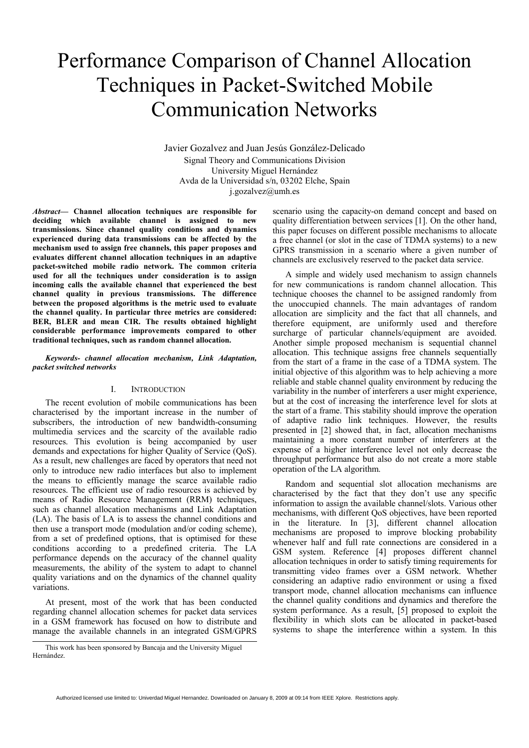# Performance Comparison of Channel Allocation Techniques in Packet-Switched Mobile Communication Networks

Javier Gozalvez and Juan Jesús González-Delicado Signal Theory and Communications Division University Miguel Hernández Avda de la Universidad s/n, 03202 Elche, Spain j.gozalvez@umh.es

*Abstract***— Channel allocation techniques are responsible for deciding which available channel is assigned to new transmissions. Since channel quality conditions and dynamics experienced during data transmissions can be affected by the mechanism used to assign free channels, this paper proposes and evaluates different channel allocation techniques in an adaptive packet-switched mobile radio network. The common criteria used for all the techniques under consideration is to assign incoming calls the available channel that experienced the best channel quality in previous transmissions. The difference between the proposed algorithms is the metric used to evaluate the channel quality. In particular three metrics are considered: BER, BLER and mean CIR. The results obtained highlight considerable performance improvements compared to other traditional techniques, such as random channel allocation.** 

## *Keywords- channel allocation mechanism, Link Adaptation, packet switched networks*

# I. INTRODUCTION

The recent evolution of mobile communications has been characterised by the important increase in the number of subscribers, the introduction of new bandwidth-consuming multimedia services and the scarcity of the available radio resources. This evolution is being accompanied by user demands and expectations for higher Quality of Service (QoS). As a result, new challenges are faced by operators that need not only to introduce new radio interfaces but also to implement the means to efficiently manage the scarce available radio resources. The efficient use of radio resources is achieved by means of Radio Resource Management (RRM) techniques, such as channel allocation mechanisms and Link Adaptation (LA). The basis of LA is to assess the channel conditions and then use a transport mode (modulation and/or coding scheme), from a set of predefined options, that is optimised for these conditions according to a predefined criteria. The LA performance depends on the accuracy of the channel quality measurements, the ability of the system to adapt to channel quality variations and on the dynamics of the channel quality variations.

At present, most of the work that has been conducted regarding channel allocation schemes for packet data services in a GSM framework has focused on how to distribute and manage the available channels in an integrated GSM/GPRS scenario using the capacity-on demand concept and based on quality differentiation between services [1]. On the other hand, this paper focuses on different possible mechanisms to allocate a free channel (or slot in the case of TDMA systems) to a new GPRS transmission in a scenario where a given number of channels are exclusively reserved to the packet data service.

A simple and widely used mechanism to assign channels for new communications is random channel allocation. This technique chooses the channel to be assigned randomly from the unoccupied channels. The main advantages of random allocation are simplicity and the fact that all channels, and therefore equipment, are uniformly used and therefore surcharge of particular channels/equipment are avoided. Another simple proposed mechanism is sequential channel allocation. This technique assigns free channels sequentially from the start of a frame in the case of a TDMA system. The initial objective of this algorithm was to help achieving a more reliable and stable channel quality environment by reducing the variability in the number of interferers a user might experience, but at the cost of increasing the interference level for slots at the start of a frame. This stability should improve the operation of adaptive radio link techniques. However, the results presented in [2] showed that, in fact, allocation mechanisms maintaining a more constant number of interferers at the expense of a higher interference level not only decrease the throughput performance but also do not create a more stable operation of the LA algorithm.

Random and sequential slot allocation mechanisms are characterised by the fact that they don't use any specific information to assign the available channel/slots. Various other mechanisms, with different QoS objectives, have been reported in the literature. In [3], different channel allocation mechanisms are proposed to improve blocking probability whenever half and full rate connections are considered in a GSM system. Reference [4] proposes different channel allocation techniques in order to satisfy timing requirements for transmitting video frames over a GSM network. Whether considering an adaptive radio environment or using a fixed transport mode, channel allocation mechanisms can influence the channel quality conditions and dynamics and therefore the system performance. As a result, [5] proposed to exploit the flexibility in which slots can be allocated in packet-based systems to shape the interference within a system. In this

Authorized licensed use limited to: Univerdad Miguel Hernandez. Downloaded on January 8, 2009 at 09:14 from IEEE Xplore. Restrictions apply.

This work has been sponsored by Bancaja and the University Miguel Hernández.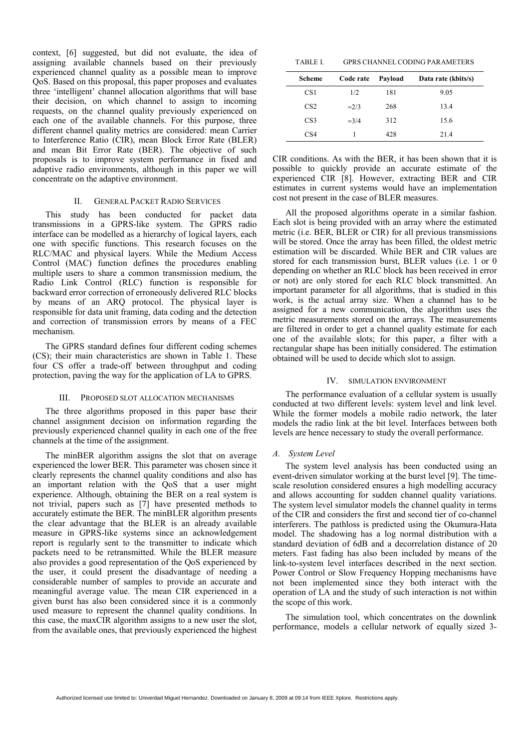context, [6] suggested, but did not evaluate, the idea of assigning available channels based on their previously experienced channel quality as a possible mean to improve QoS. Based on this proposal, this paper proposes and evaluates three 'intelligent' channel allocation algorithms that will base their decision, on which channel to assign to incoming requests, on the channel quality previously experienced on each one of the available channels. For this purpose, three different channel quality metrics are considered: mean Carrier to Interference Ratio (CIR), mean Block Error Rate (BLER) and mean Bit Error Rate (BER). The objective of such proposals is to improve system performance in fixed and adaptive radio environments, although in this paper we will concentrate on the adaptive environment.

## II. GENERAL PACKET RADIO SERVICES

This study has been conducted for packet data transmissions in a GPRS-like system. The GPRS radio interface can be modelled as a hierarchy of logical layers, each one with specific functions. This research focuses on the RLC/MAC and physical layers. While the Medium Access Control (MAC) function defines the procedures enabling multiple users to share a common transmission medium, the Radio Link Control (RLC) function is responsible for backward error correction of erroneously delivered RLC blocks by means of an ARQ protocol. The physical layer is responsible for data unit framing, data coding and the detection and correction of transmission errors by means of a FEC mechanism.

The GPRS standard defines four different coding schemes (CS); their main characteristics are shown in Table 1. These four CS offer a trade-off between throughput and coding protection, paving the way for the application of LA to GPRS.

### III. PROPOSED SLOT ALLOCATION MECHANISMS

The three algorithms proposed in this paper base their channel assignment decision on information regarding the previously experienced channel quality in each one of the free channels at the time of the assignment.

The minBER algorithm assigns the slot that on average experienced the lower BER. This parameter was chosen since it clearly represents the channel quality conditions and also has an important relation with the QoS that a user might experience. Although, obtaining the BER on a real system is not trivial, papers such as [7] have presented methods to accurately estimate the BER. The minBLER algorithm presents the clear advantage that the BLER is an already available measure in GPRS-like systems since an acknowledgement report is regularly sent to the transmitter to indicate which packets need to be retransmitted. While the BLER measure also provides a good representation of the QoS experienced by the user, it could present the disadvantage of needing a considerable number of samples to provide an accurate and meaningful average value. The mean CIR experienced in a given burst has also been considered since it is a commonly used measure to represent the channel quality conditions. In this case, the maxCIR algorithm assigns to a new user the slot, from the available ones, that previously experienced the highest

TABLE I. GPRS CHANNEL CODING PARAMETERS

| <b>Scheme</b>   | Code rate     | Payload | Data rate (kbits/s) |
|-----------------|---------------|---------|---------------------|
| CS <sub>1</sub> | 1/2           | 181     | 9.05                |
| CS <sub>2</sub> | $\approx$ 2/3 | 268     | 13.4                |
| CS <sub>3</sub> | $\approx 3/4$ | 312     | 15.6                |
| CS4             |               | 428     | 21.4                |

CIR conditions. As with the BER, it has been shown that it is possible to quickly provide an accurate estimate of the experienced CIR [8]. However, extracting BER and CIR estimates in current systems would have an implementation cost not present in the case of BLER measures.

All the proposed algorithms operate in a similar fashion. Each slot is being provided with an array where the estimated metric (i.e. BER, BLER or CIR) for all previous transmissions will be stored. Once the array has been filled, the oldest metric estimation will be discarded. While BER and CIR values are stored for each transmission burst, BLER values (i.e. 1 or 0 depending on whether an RLC block has been received in error or not) are only stored for each RLC block transmitted. An important parameter for all algorithms, that is studied in this work, is the actual array size. When a channel has to be assigned for a new communication, the algorithm uses the metric measurements stored on the arrays. The measurements are filtered in order to get a channel quality estimate for each one of the available slots; for this paper, a filter with a rectangular shape has been initially considered. The estimation obtained will be used to decide which slot to assign.

#### IV. SIMULATION ENVIRONMENT

The performance evaluation of a cellular system is usually conducted at two different levels: system level and link level. While the former models a mobile radio network, the later models the radio link at the bit level. Interfaces between both levels are hence necessary to study the overall performance.

# *A. System Level*

The system level analysis has been conducted using an event-driven simulator working at the burst level [9]. The timescale resolution considered ensures a high modelling accuracy and allows accounting for sudden channel quality variations. The system level simulator models the channel quality in terms of the CIR and considers the first and second tier of co-channel interferers. The pathloss is predicted using the Okumura-Hata model. The shadowing has a log normal distribution with a standard deviation of 6dB and a decorrelation distance of 20 meters. Fast fading has also been included by means of the link-to-system level interfaces described in the next section. Power Control or Slow Frequency Hopping mechanisms have not been implemented since they both interact with the operation of LA and the study of such interaction is not within the scope of this work.

The simulation tool, which concentrates on the downlink performance, models a cellular network of equally sized 3-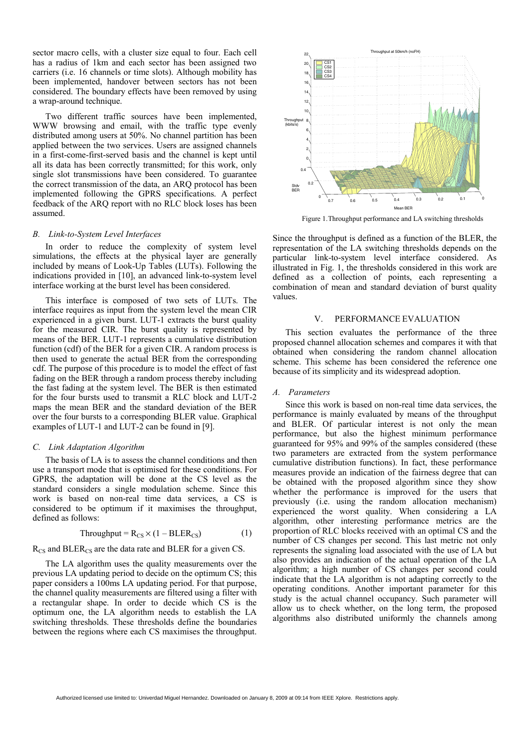sector macro cells, with a cluster size equal to four. Each cell has a radius of 1km and each sector has been assigned two carriers (i.e. 16 channels or time slots). Although mobility has been implemented, handover between sectors has not been considered. The boundary effects have been removed by using a wrap-around technique.

Two different traffic sources have been implemented, WWW browsing and email, with the traffic type evenly distributed among users at 50%. No channel partition has been applied between the two services. Users are assigned channels in a first-come-first-served basis and the channel is kept until all its data has been correctly transmitted; for this work, only single slot transmissions have been considered. To guarantee the correct transmission of the data, an ARQ protocol has been implemented following the GPRS specifications. A perfect feedback of the ARQ report with no RLC block loses has been assumed.

#### *B. Link-to-System Level Interfaces*

In order to reduce the complexity of system level simulations, the effects at the physical layer are generally included by means of Look-Up Tables (LUTs). Following the indications provided in [10], an advanced link-to-system level interface working at the burst level has been considered.

This interface is composed of two sets of LUTs. The interface requires as input from the system level the mean CIR experienced in a given burst. LUT-1 extracts the burst quality for the measured CIR. The burst quality is represented by means of the BER. LUT-1 represents a cumulative distribution function (cdf) of the BER for a given CIR. A random process is then used to generate the actual BER from the corresponding cdf. The purpose of this procedure is to model the effect of fast fading on the BER through a random process thereby including the fast fading at the system level. The BER is then estimated for the four bursts used to transmit a RLC block and LUT-2 maps the mean BER and the standard deviation of the BER over the four bursts to a corresponding BLER value. Graphical examples of LUT-1 and LUT-2 can be found in [9].

#### *C. Link Adaptation Algorithm*

The basis of LA is to assess the channel conditions and then use a transport mode that is optimised for these conditions. For GPRS, the adaptation will be done at the CS level as the standard considers a single modulation scheme. Since this work is based on non-real time data services, a CS is considered to be optimum if it maximises the throughput, defined as follows:

$$
Throughout = R_{CS} \times (1 - BLER_{CS})
$$
 (1)

 $R_{CS}$  and BLER<sub>CS</sub> are the data rate and BLER for a given CS.

The LA algorithm uses the quality measurements over the previous LA updating period to decide on the optimum CS; this paper considers a 100ms LA updating period. For that purpose, the channel quality measurements are filtered using a filter with a rectangular shape. In order to decide which CS is the optimum one, the LA algorithm needs to establish the LA switching thresholds. These thresholds define the boundaries between the regions where each CS maximises the throughput.



Figure 1.Throughput performance and LA switching thresholds

Since the throughput is defined as a function of the BLER, the representation of the LA switching thresholds depends on the particular link-to-system level interface considered. As illustrated in Fig. 1, the thresholds considered in this work are defined as a collection of points, each representing a combination of mean and standard deviation of burst quality values.

# V. PERFORMANCE EVALUATION

This section evaluates the performance of the three proposed channel allocation schemes and compares it with that obtained when considering the random channel allocation scheme. This scheme has been considered the reference one because of its simplicity and its widespread adoption.

## *A. Parameters*

Since this work is based on non-real time data services, the performance is mainly evaluated by means of the throughput and BLER. Of particular interest is not only the mean performance, but also the highest minimum performance guaranteed for 95% and 99% of the samples considered (these two parameters are extracted from the system performance cumulative distribution functions). In fact, these performance measures provide an indication of the fairness degree that can be obtained with the proposed algorithm since they show whether the performance is improved for the users that previously (i.e. using the random allocation mechanism) experienced the worst quality. When considering a LA algorithm, other interesting performance metrics are the proportion of RLC blocks received with an optimal CS and the number of CS changes per second. This last metric not only represents the signaling load associated with the use of LA but also provides an indication of the actual operation of the LA algorithm; a high number of CS changes per second could indicate that the LA algorithm is not adapting correctly to the operating conditions. Another important parameter for this study is the actual channel occupancy. Such parameter will allow us to check whether, on the long term, the proposed algorithms also distributed uniformly the channels among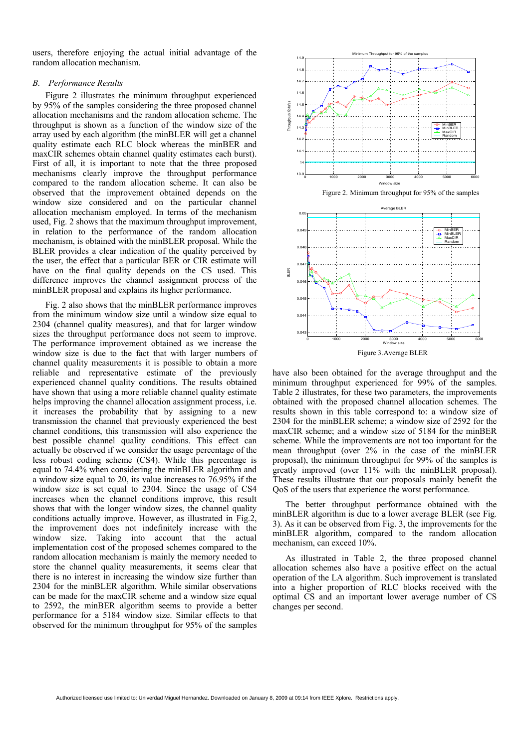users, therefore enjoying the actual initial advantage of the random allocation mechanism.

## *B. Performance Results*

Figure 2 illustrates the minimum throughput experienced by 95% of the samples considering the three proposed channel allocation mechanisms and the random allocation scheme. The throughput is shown as a function of the window size of the array used by each algorithm (the minBLER will get a channel quality estimate each RLC block whereas the minBER and maxCIR schemes obtain channel quality estimates each burst). First of all, it is important to note that the three proposed mechanisms clearly improve the throughput performance compared to the random allocation scheme. It can also be observed that the improvement obtained depends on the window size considered and on the particular channel allocation mechanism employed. In terms of the mechanism used, Fig. 2 shows that the maximum throughput improvement, in relation to the performance of the random allocation mechanism, is obtained with the minBLER proposal. While the BLER provides a clear indication of the quality perceived by the user, the effect that a particular BER or CIR estimate will have on the final quality depends on the CS used. This difference improves the channel assignment process of the minBLER proposal and explains its higher performance.

Fig. 2 also shows that the minBLER performance improves from the minimum window size until a window size equal to 2304 (channel quality measures), and that for larger window sizes the throughput performance does not seem to improve. The performance improvement obtained as we increase the window size is due to the fact that with larger numbers of channel quality measurements it is possible to obtain a more reliable and representative estimate of the previously experienced channel quality conditions. The results obtained have shown that using a more reliable channel quality estimate helps improving the channel allocation assignment process, i.e. it increases the probability that by assigning to a new transmission the channel that previously experienced the best channel conditions, this transmission will also experience the best possible channel quality conditions. This effect can actually be observed if we consider the usage percentage of the less robust coding scheme (CS4). While this percentage is equal to 74.4% when considering the minBLER algorithm and a window size equal to 20, its value increases to 76.95% if the window size is set equal to 2304. Since the usage of CS4 increases when the channel conditions improve, this result shows that with the longer window sizes, the channel quality conditions actually improve. However, as illustrated in Fig.2, the improvement does not indefinitely increase with the window size. Taking into account that the actual implementation cost of the proposed schemes compared to the random allocation mechanism is mainly the memory needed to store the channel quality measurements, it seems clear that there is no interest in increasing the window size further than 2304 for the minBLER algorithm. While similar observations can be made for the maxCIR scheme and a window size equal to 2592, the minBER algorithm seems to provide a better performance for a 5184 window size. Similar effects to that observed for the minimum throughput for 95% of the samples



Figure 2. Minimum throughput for 95% of the samples



have also been obtained for the average throughput and the minimum throughput experienced for 99% of the samples. Table 2 illustrates, for these two parameters, the improvements obtained with the proposed channel allocation schemes. The results shown in this table correspond to: a window size of 2304 for the minBLER scheme; a window size of 2592 for the maxCIR scheme; and a window size of 5184 for the minBER scheme. While the improvements are not too important for the mean throughput (over 2% in the case of the minBLER proposal), the minimum throughput for 99% of the samples is greatly improved (over 11% with the minBLER proposal). These results illustrate that our proposals mainly benefit the QoS of the users that experience the worst performance.

The better throughput performance obtained with the minBLER algorithm is due to a lower average BLER (see Fig. 3). As it can be observed from Fig. 3, the improvements for the minBLER algorithm, compared to the random allocation mechanism, can exceed 10%.

As illustrated in Table 2, the three proposed channel allocation schemes also have a positive effect on the actual operation of the LA algorithm. Such improvement is translated into a higher proportion of RLC blocks received with the optimal CS and an important lower average number of CS changes per second.